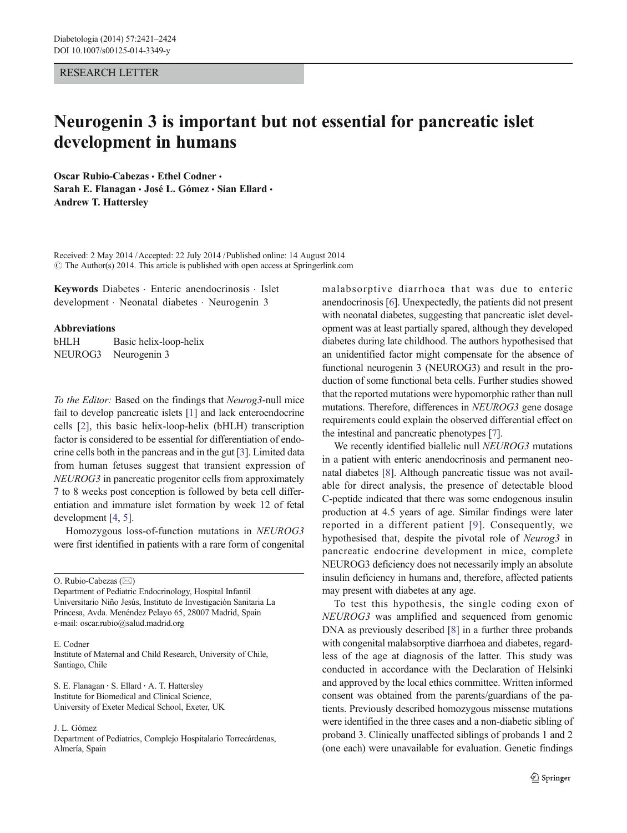## RESEARCH LETTER

## Neurogenin 3 is important but not essential for pancreatic islet development in humans

Oscar Rubio-Cabezas · Ethel Codner · Sarah E. Flanagan · José L. Gómez · Sian Ellard · Andrew T. Hattersley

Received: 2 May 2014 /Accepted: 22 July 2014 / Published online: 14 August 2014  $\odot$  The Author(s) 2014. This article is published with open access at Springerlink.com

Keywords Diabetes . Enteric anendocrinosis . Islet development . Neonatal diabetes . Neurogenin 3

## Abbreviations

bHLH Basic helix-loop-helix NEUROG3 Neurogenin 3

To the Editor: Based on the findings that Neurog3-null mice fail to develop pancreatic islets [\[1](#page-2-0)] and lack enteroendocrine cells [[2\]](#page-2-0), this basic helix-loop-helix (bHLH) transcription factor is considered to be essential for differentiation of endocrine cells both in the pancreas and in the gut [[3\]](#page-2-0). Limited data from human fetuses suggest that transient expression of NEUROG3 in pancreatic progenitor cells from approximately 7 to 8 weeks post conception is followed by beta cell differentiation and immature islet formation by week 12 of fetal development [[4,](#page-2-0) [5\]](#page-2-0).

Homozygous loss-of-function mutations in NEUROG3 were first identified in patients with a rare form of congenital

O. Rubio-Cabezas  $(\boxtimes)$ 

Department of Pediatric Endocrinology, Hospital Infantil Universitario Niño Jesús, Instituto de Investigación Sanitaria La Princesa, Avda. Menéndez Pelayo 65, 28007 Madrid, Spain e-mail: oscar.rubio@salud.madrid.org

E. Codner

Institute of Maternal and Child Research, University of Chile, Santiago, Chile

S. E. Flanagan : S. Ellard : A. T. Hattersley Institute for Biomedical and Clinical Science, University of Exeter Medical School, Exeter, UK

J. L. Gómez

Department of Pediatrics, Complejo Hospitalario Torrecárdenas, Almería, Spain

malabsorptive diarrhoea that was due to enteric anendocrinosis [[6\]](#page-2-0). Unexpectedly, the patients did not present with neonatal diabetes, suggesting that pancreatic islet development was at least partially spared, although they developed diabetes during late childhood. The authors hypothesised that an unidentified factor might compensate for the absence of functional neurogenin 3 (NEUROG3) and result in the production of some functional beta cells. Further studies showed that the reported mutations were hypomorphic rather than null mutations. Therefore, differences in NEUROG3 gene dosage requirements could explain the observed differential effect on the intestinal and pancreatic phenotypes [\[7](#page-3-0)].

We recently identified biallelic null NEUROG3 mutations in a patient with enteric anendocrinosis and permanent neonatal diabetes [\[8](#page-3-0)]. Although pancreatic tissue was not available for direct analysis, the presence of detectable blood C-peptide indicated that there was some endogenous insulin production at 4.5 years of age. Similar findings were later reported in a different patient [[9\]](#page-3-0). Consequently, we hypothesised that, despite the pivotal role of Neurog3 in pancreatic endocrine development in mice, complete NEUROG3 deficiency does not necessarily imply an absolute insulin deficiency in humans and, therefore, affected patients may present with diabetes at any age.

To test this hypothesis, the single coding exon of NEUROG3 was amplified and sequenced from genomic DNA as previously described [\[8](#page-3-0)] in a further three probands with congenital malabsorptive diarrhoea and diabetes, regardless of the age at diagnosis of the latter. This study was conducted in accordance with the Declaration of Helsinki and approved by the local ethics committee. Written informed consent was obtained from the parents/guardians of the patients. Previously described homozygous missense mutations were identified in the three cases and a non-diabetic sibling of proband 3. Clinically unaffected siblings of probands 1 and 2 (one each) were unavailable for evaluation. Genetic findings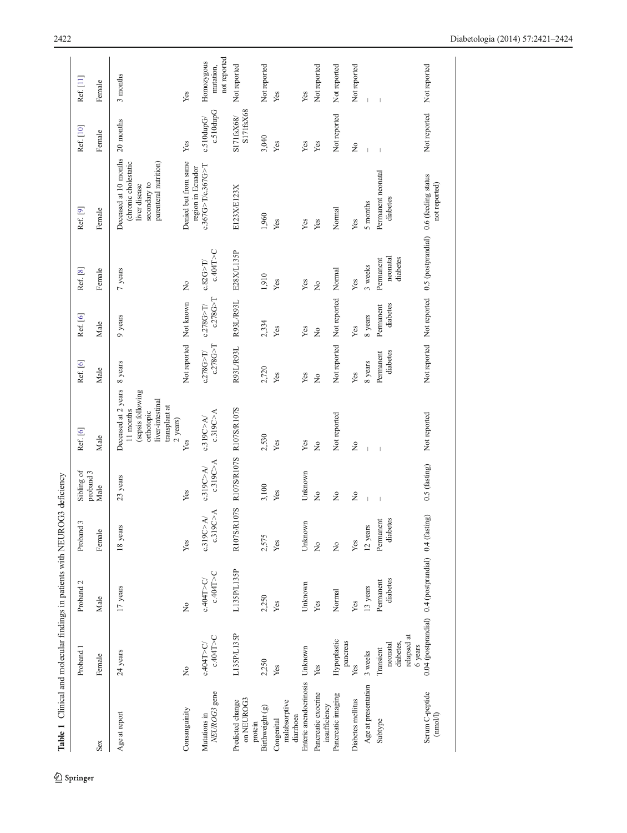<span id="page-1-0"></span>

| Table 1 Clinical and molecular findings in patients with NEUROG3 deficiency |                                                              |                          |                        |                          |                                                                                                                        |                          |                         |                                                                  |                                                                                                         |                              |                                         |
|-----------------------------------------------------------------------------|--------------------------------------------------------------|--------------------------|------------------------|--------------------------|------------------------------------------------------------------------------------------------------------------------|--------------------------|-------------------------|------------------------------------------------------------------|---------------------------------------------------------------------------------------------------------|------------------------------|-----------------------------------------|
|                                                                             | Proband 1                                                    | Proband <sub>2</sub>     | 3<br>Proband           | Sibling of<br>proband 3  | Ref. [6]                                                                                                               | Ref. [6]                 | Ref. [6]                | Ref. [8]                                                         | Ref. [9]                                                                                                | Ref. [10]                    | Ref. [11]                               |
| Sex                                                                         | Female                                                       | Male                     | Female                 | Male                     | Male                                                                                                                   | Male                     | Male                    | Female                                                           | Female                                                                                                  | Female                       | Female                                  |
| Age at report                                                               | $24$ years                                                   | 17 years                 | 18 years               | 23 years                 | Deceased at 2 years<br>(sepsis following<br>liver-intestinal<br>transplant at<br>11 months<br>orthotopic<br>$2$ years) | 8 years                  | 9 years                 | 7 years                                                          | Deceased at 10 months<br>parenteral nutrition)<br>(chronic cholestatic<br>secondary to<br>liver disease | 20 months                    | 3 months                                |
| Consanguinity                                                               | $\tilde{z}$                                                  | $\tilde{z}$              | Yes                    | Yes                      | Yes                                                                                                                    | Not reported             | Not known               | $\tilde{z}$                                                      | Denied but from same<br>region in Ecuador                                                               | Yes                          | Yes                                     |
| NEUROG3 gene<br>Mutations in                                                | c.404T>C<br>c.404T > C                                       | c.404T > C<br>c.404T > C | c.319C>A<br>c.319C > A | c.319C > A<br>c.319C > A | c.319C > A<br>c.319C > A                                                                                               | c.278G > T<br>c.278G > T | c.278G > T<br>c.278G>T/ | c.404T > C<br>c.82G > T                                          | c.367G>T/c.367G>T                                                                                       | c.510dupG<br>$c.510$ dup $G$ | not reported<br>Homozygous<br>mutation, |
| on NEUROG3<br>Predicted change<br>protein                                   | L135P/L135P                                                  | LI35P/LI35P              | R107S/R107S            | R107S/R107S R107S/R107S  |                                                                                                                        | R93L/R93L                | R93L/R93L               | E28X/L135P                                                       | E123X/E123X                                                                                             | S171fsX68<br>S171fsX68/      | Not reported                            |
| Birthweight (g)                                                             | 2,250                                                        | 2,250                    | 2,575                  | 3,100                    | 2,530                                                                                                                  | 2,720                    | 2,334                   | 1,910                                                            | 1,960                                                                                                   | 3,040                        | Not reported                            |
| malabsorptive<br>diarrhoea<br>Congenital                                    | Yes                                                          | Yes                      | Yes                    | Yes                      | Yes                                                                                                                    | Yes                      | Yes                     | Yes                                                              | Yes                                                                                                     | Yes                          | Yes                                     |
| Enteric anendocrinosis Unknown                                              |                                                              | Unknown                  | Unknown                | Unknown                  | Yes                                                                                                                    | Yes                      | Yes                     | Yes                                                              | Yes                                                                                                     | Yes                          | Yes                                     |
| Pancreatic exocrine<br>insufficiency                                        | Yes                                                          | Yes                      | $\frac{1}{2}$          | $\frac{1}{2}$            | $\tilde{z}$                                                                                                            | $\tilde{z}$              | $\tilde{z}$             | $\frac{1}{2}$                                                    | Yes                                                                                                     | Yes                          | Not reported                            |
| Pancreatic imaging                                                          | Hypoplastic<br>pancreas                                      | Normal                   | $\tilde{z}$            | $\frac{1}{2}$            | Not reported                                                                                                           | Not reported             | Not reported            | Normal                                                           | Normal                                                                                                  | Not reported                 | Not reported                            |
| Diabetes mellitus                                                           | Yes                                                          | Yes                      | Yes                    | $\overline{\mathsf{x}}$  | $\tilde{z}$                                                                                                            | Yes                      | Yes                     | Yes                                                              | Yes                                                                                                     | $\tilde{z}$                  | Not reported                            |
| Age at presentation                                                         | 3 weeks                                                      | 13 years                 | 12 years               |                          |                                                                                                                        | 8 years                  | 8 years                 | 3 weeks                                                          | 5 months                                                                                                |                              |                                         |
| Subtype                                                                     | relapsed at<br>diabetes,<br>neonatal<br>6 years<br>Transient | diabetes<br>Permanent    | diabetes<br>Permanent  | $\overline{1}$           | $\overline{1}$                                                                                                         | diabetes<br>Permanent    | diabetes<br>Permanent   | diabetes<br>neonatal<br>Permanent                                | Permanent neonatal<br>diabetes                                                                          | $\overline{1}$               |                                         |
| Serum C-peptide<br>(mool/l)                                                 | 0.04 (postprandial) 0.4 (postprandial) 0.4 (fasting)         |                          |                        | 0.5 (fasting)            | Not reported                                                                                                           |                          |                         | Not reported Not reported 0.5 (postprandial) 0.6 (feeding status | not reported)                                                                                           | Not reported                 | Not reported                            |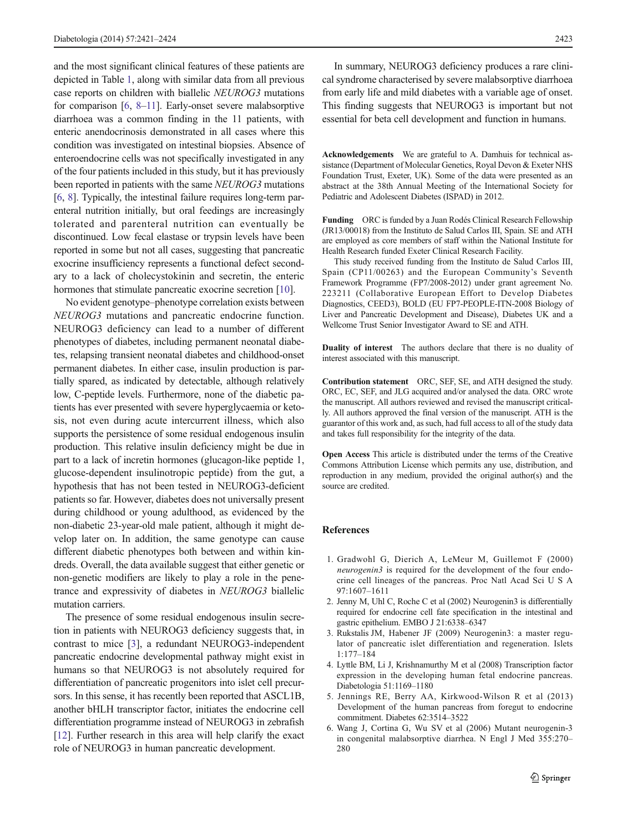<span id="page-2-0"></span>and the most significant clinical features of these patients are depicted in Table [1](#page-1-0), along with similar data from all previous case reports on children with biallelic NEUROG3 mutations for comparison [6, [8](#page-3-0)–[11](#page-3-0)]. Early-onset severe malabsorptive diarrhoea was a common finding in the 11 patients, with enteric anendocrinosis demonstrated in all cases where this condition was investigated on intestinal biopsies. Absence of enteroendocrine cells was not specifically investigated in any of the four patients included in this study, but it has previously been reported in patients with the same NEUROG3 mutations [6, [8](#page-3-0)]. Typically, the intestinal failure requires long-term parenteral nutrition initially, but oral feedings are increasingly tolerated and parenteral nutrition can eventually be discontinued. Low fecal elastase or trypsin levels have been reported in some but not all cases, suggesting that pancreatic exocrine insufficiency represents a functional defect secondary to a lack of cholecystokinin and secretin, the enteric hormones that stimulate pancreatic exocrine secretion [\[10](#page-3-0)].

No evident genotype–phenotype correlation exists between NEUROG3 mutations and pancreatic endocrine function. NEUROG3 deficiency can lead to a number of different phenotypes of diabetes, including permanent neonatal diabetes, relapsing transient neonatal diabetes and childhood-onset permanent diabetes. In either case, insulin production is partially spared, as indicated by detectable, although relatively low, C-peptide levels. Furthermore, none of the diabetic patients has ever presented with severe hyperglycaemia or ketosis, not even during acute intercurrent illness, which also supports the persistence of some residual endogenous insulin production. This relative insulin deficiency might be due in part to a lack of incretin hormones (glucagon-like peptide 1, glucose-dependent insulinotropic peptide) from the gut, a hypothesis that has not been tested in NEUROG3-deficient patients so far. However, diabetes does not universally present during childhood or young adulthood, as evidenced by the non-diabetic 23-year-old male patient, although it might develop later on. In addition, the same genotype can cause different diabetic phenotypes both between and within kindreds. Overall, the data available suggest that either genetic or non-genetic modifiers are likely to play a role in the penetrance and expressivity of diabetes in NEUROG3 biallelic mutation carriers.

The presence of some residual endogenous insulin secretion in patients with NEUROG3 deficiency suggests that, in contrast to mice [3], a redundant NEUROG3-independent pancreatic endocrine developmental pathway might exist in humans so that NEUROG3 is not absolutely required for differentiation of pancreatic progenitors into islet cell precursors. In this sense, it has recently been reported that ASCL1B, another bHLH transcriptor factor, initiates the endocrine cell differentiation programme instead of NEUROG3 in zebrafish [\[12\]](#page-3-0). Further research in this area will help clarify the exact role of NEUROG3 in human pancreatic development.

In summary, NEUROG3 deficiency produces a rare clinical syndrome characterised by severe malabsorptive diarrhoea from early life and mild diabetes with a variable age of onset. This finding suggests that NEUROG3 is important but not essential for beta cell development and function in humans.

Acknowledgements We are grateful to A. Damhuis for technical assistance (Department of Molecular Genetics, Royal Devon & Exeter NHS Foundation Trust, Exeter, UK). Some of the data were presented as an abstract at the 38th Annual Meeting of the International Society for Pediatric and Adolescent Diabetes (ISPAD) in 2012.

Funding ORC is funded by a Juan Rodés Clinical Research Fellowship (JR13/00018) from the Instituto de Salud Carlos III, Spain. SE and ATH are employed as core members of staff within the National Institute for Health Research funded Exeter Clinical Research Facility.

This study received funding from the Instituto de Salud Carlos III, Spain (CP11/00263) and the European Community's Seventh Framework Programme (FP7/2008-2012) under grant agreement No. 223211 (Collaborative European Effort to Develop Diabetes Diagnostics, CEED3), BOLD (EU FP7-PEOPLE-ITN-2008 Biology of Liver and Pancreatic Development and Disease), Diabetes UK and a Wellcome Trust Senior Investigator Award to SE and ATH.

Duality of interest The authors declare that there is no duality of interest associated with this manuscript.

Contribution statement ORC, SEF, SE, and ATH designed the study. ORC, EC, SEF, and JLG acquired and/or analysed the data. ORC wrote the manuscript. All authors reviewed and revised the manuscript critically. All authors approved the final version of the manuscript. ATH is the guarantor of this work and, as such, had full access to all of the study data and takes full responsibility for the integrity of the data.

Open Access This article is distributed under the terms of the Creative Commons Attribution License which permits any use, distribution, and reproduction in any medium, provided the original author(s) and the source are credited.

## References

- 1. Gradwohl G, Dierich A, LeMeur M, Guillemot F (2000) neurogenin3 is required for the development of the four endocrine cell lineages of the pancreas. Proc Natl Acad Sci U S A 97:1607–1611
- 2. Jenny M, Uhl C, Roche C et al (2002) Neurogenin3 is differentially required for endocrine cell fate specification in the intestinal and gastric epithelium. EMBO J 21:6338–6347
- 3. Rukstalis JM, Habener JF (2009) Neurogenin3: a master regulator of pancreatic islet differentiation and regeneration. Islets 1:177–184
- 4. Lyttle BM, Li J, Krishnamurthy M et al (2008) Transcription factor expression in the developing human fetal endocrine pancreas. Diabetologia 51:1169–1180
- 5. Jennings RE, Berry AA, Kirkwood-Wilson R et al (2013) Development of the human pancreas from foregut to endocrine commitment. Diabetes 62:3514–3522
- 6. Wang J, Cortina G, Wu SV et al (2006) Mutant neurogenin-3 in congenital malabsorptive diarrhea. N Engl J Med 355:270– 280